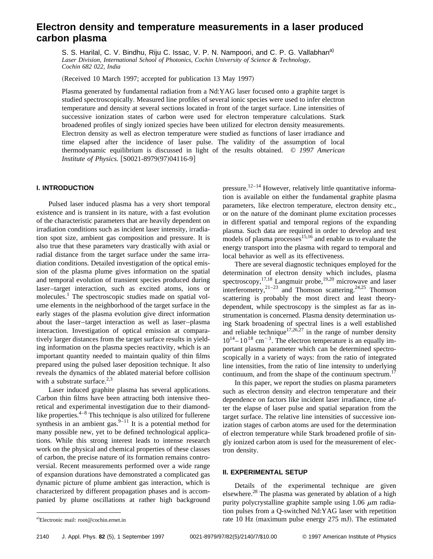# **Electron density and temperature measurements in a laser produced carbon plasma**

S. S. Harilal, C. V. Bindhu, Riju C. Issac, V. P. N. Nampoori, and C. P. G. Vallabhan<sup>a)</sup> *Laser Division, International School of Photonics, Cochin University of Science & Technology, Cochin 682 022, India*

 $(Received 10 March 1997; accepted for publication 13 May 1997)$ 

Plasma generated by fundamental radiation from a Nd:YAG laser focused onto a graphite target is studied spectroscopically. Measured line profiles of several ionic species were used to infer electron temperature and density at several sections located in front of the target surface. Line intensities of successive ionization states of carbon were used for electron temperature calculations. Stark broadened profiles of singly ionized species have been utilized for electron density measurements. Electron density as well as electron temperature were studied as functions of laser irradiance and time elapsed after the incidence of laser pulse. The validity of the assumption of local thermodynamic equilibrium is discussed in light of the results obtained. © *1997 American Institute of Physics.* [S0021-8979(97)04116-9]

## **I. INTRODUCTION**

Pulsed laser induced plasma has a very short temporal existence and is transient in its nature, with a fast evolution of the characteristic parameters that are heavily dependent on irradiation conditions such as incident laser intensity, irradiation spot size, ambient gas composition and pressure. It is also true that these parameters vary drastically with axial or radial distance from the target surface under the same irradiation conditions. Detailed investigation of the optical emission of the plasma plume gives information on the spatial and temporal evolution of transient species produced during laser–target interaction, such as excited atoms, ions or molecules.<sup>1</sup> The spectroscopic studies made on spatial volume elements in the neighborhood of the target surface in the early stages of the plasma evolution give direct information about the laser–target interaction as well as laser–plasma interaction. Investigation of optical emission at comparatively larger distances from the target surface results in yielding information on the plasma species reactivity, which is an important quantity needed to maintain quality of thin films prepared using the pulsed laser deposition technique. It also reveals the dynamics of the ablated material before collision with a substrate surface. $2,3$ 

Laser induced graphite plasma has several applications. Carbon thin films have been attracting both intensive theoretical and experimental investigation due to their diamondlike properties. $4-8$  This technique is also utilized for fullerene synthesis in an ambient gas. $9-11$  It is a potential method for many possible new, yet to be defined technological applications. While this strong interest leads to intense research work on the physical and chemical properties of these classes of carbon, the precise nature of its formation remains controversial. Recent measurements performed over a wide range of expansion durations have demonstrated a complicated gas dynamic picture of plume ambient gas interaction, which is characterized by different propagation phases and is accompanied by plume oscillations at rather high background pressure.<sup>12–14</sup> However, relatively little quantitative information is available on either the fundamental graphite plasma parameters, like electron temperature, electron density etc., or on the nature of the dominant plume excitation processes in different spatial and temporal regions of the expanding plasma. Such data are required in order to develop and test models of plasma processes $15,16$  and enable us to evaluate the energy transport into the plasma with regard to temporal and local behavior as well as its effectiveness.

There are several diagnostic techniques employed for the determination of electron density which includes, plasma spectroscopy,<sup>17,18</sup> Langmuir probe,<sup>19,20</sup> microwave and laser interferometry,  $2^{1-23}$  and Thomson scattering.  $2^{4,25}$  Thomson scattering is probably the most direct and least theorydependent, while spectroscopy is the simplest as far as instrumentation is concerned. Plasma density determination using Stark broadening of spectral lines is a well established and reliable technique<sup>17,26,27</sup> in the range of number density  $10^{14} - 10^{18}$  cm<sup>-3</sup>. The electron temperature is an equally important plasma parameter which can be determined spectroscopically in a variety of ways: from the ratio of integrated line intensities, from the ratio of line intensity to underlying continuum, and from the shape of the continuum spectrum.<sup>17</sup>

In this paper, we report the studies on plasma parameters such as electron density and electron temperature and their dependence on factors like incident laser irradiance, time after the elapse of laser pulse and spatial separation from the target surface. The relative line intensities of successive ionization stages of carbon atoms are used for the determination of electron temperature while Stark broadened profile of singly ionized carbon atom is used for the measurement of electron density.

### **II. EXPERIMENTAL SETUP**

Details of the experimental technique are given elsewhere.<sup>28</sup> The plasma was generated by ablation of a high purity polycrystalline graphite sample using  $1.06 \mu m$  radiation pulses from a Q-switched Nd:YAG laser with repetition rate 10 Hz (maximum pulse energy  $275$  mJ). The estimated

Electronic mail: root@cochin.ernet.in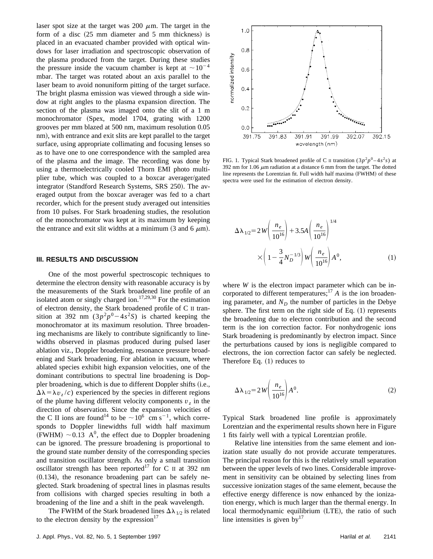laser spot size at the target was 200  $\mu$ m. The target in the form of a disc  $(25 \t{mm}$  diameter and  $5 \t{mm}$  thickness) is placed in an evacuated chamber provided with optical windows for laser irradiation and spectroscopic observation of the plasma produced from the target. During these studies the pressure inside the vacuum chamber is kept at  $\sim 10^{-4}$ mbar. The target was rotated about an axis parallel to the laser beam to avoid nonuniform pitting of the target surface. The bright plasma emission was viewed through a side window at right angles to the plasma expansion direction. The section of the plasma was imaged onto the slit of a 1 m monochromator (Spex, model 1704, grating with 1200 grooves per mm blazed at 500 nm, maximum resolution 0.05 nm), with entrance and exit slits are kept parallel to the target surface, using appropriate collimating and focusing lenses so as to have one to one correspondence with the sampled area of the plasma and the image. The recording was done by using a thermoelectrically cooled Thorn EMI photo multiplier tube, which was coupled to a boxcar averager/gated integrator (Standford Research Systems, SRS 250). The averaged output from the boxcar averager was fed to a chart recorder, which for the present study averaged out intensities from 10 pulses. For Stark broadening studies, the resolution of the monochromator was kept at its maximum by keeping the entrance and exit slit widths at a minimum  $(3 \text{ and } 6 \mu \text{m})$ .

#### **III. RESULTS AND DISCUSSION**

One of the most powerful spectroscopic techniques to determine the electron density with reasonable accuracy is by the measurements of the Stark broadened line profile of an isolated atom or singly charged ion.<sup>17,29,30</sup> For the estimation of electron density, the Stark broadened profile of C II transition at 392 nm  $(3p^2p^0-4s^2S)$  is charted keeping the monochromator at its maximum resolution. Three broadening mechanisms are likely to contribute significantly to linewidths observed in plasmas produced during pulsed laser ablation viz., Doppler broadening, resonance pressure broadening and Stark broadening. For ablation in vacuum, where ablated species exhibit high expansion velocities, one of the dominant contributions to spectral line broadening is Doppler broadening, which is due to different Doppler shifts (i.e.,  $\Delta\lambda = \lambda v_z/c$  experienced by the species in different regions of the plume having different velocity components  $v<sub>z</sub>$  in the direction of observation. Since the expansion velocities of the C II ions are found<sup>14</sup> to be  $\sim 10^6$  cm s<sup>-1</sup>, which corresponds to Doppler linewidths full width half maximum (FWHM)  $\sim$  0.13 A<sup>0</sup>, the effect due to Doppler broadening can be ignored. The pressure broadening is proportional to the ground state number density of the corresponding species and transition oscillator strength. As only a small transition oscillator strength has been reported<sup>17</sup> for C II at 392 nm  $(0.134)$ , the resonance broadening part can be safely neglected. Stark broadening of spectral lines in plasmas results from collisions with charged species resulting in both a broadening of the line and a shift in the peak wavelength.

The FWHM of the Stark broadened lines  $\Delta\lambda_{1/2}$  is related to the electron density by the expression $17$ 



FIG. 1. Typical Stark broadened profile of C II transition  $(3p^2p^0 - 4s^2s)$  at 392 nm for 1.06  $\mu$ m radiation at a distance 6 mm from the target. The dotted line represents the Lorentzian fit. Full width half maxima (FWHM) of these spectra were used for the estimation of electron density.

$$
\Delta \lambda_{1/2} = 2 W \left( \frac{n_e}{10^{16}} \right) + 3.5 A \left( \frac{n_e}{10^{16}} \right)^{1/4}
$$

$$
\times \left( 1 - \frac{3}{4} N_D^{-1/3} \right) W \left( \frac{n_e}{10^{16}} \right) A^0,
$$
(1)

where *W* is the electron impact parameter which can be incorporated to different temperatures;<sup>17</sup>  $\hat{A}$  is the ion broadening parameter, and  $N_D$  the number of particles in the Debye sphere. The first term on the right side of Eq.  $(1)$  represents the broadening due to electron contribution and the second term is the ion correction factor. For nonhydrogenic ions Stark broadening is predominantly by electron impact. Since the perturbations caused by ions is negligible compared to electrons, the ion correction factor can safely be neglected. Therefore Eq.  $(1)$  reduces to

$$
\Delta\lambda_{1/2} = 2W\left(\frac{n_e}{10^{16}}\right)A^0.
$$
\n(2)

Typical Stark broadened line profile is approximately Lorentzian and the experimental results shown here in Figure 1 fits fairly well with a typical Lorentzian profile.

Relative line intensities from the same element and ionization state usually do not provide accurate temperatures. The principal reason for this is the relatively small separation between the upper levels of two lines. Considerable improvement in sensitivity can be obtained by selecting lines from successive ionization stages of the same element, because the effective energy difference is now enhanced by the ionization energy, which is much larger than the thermal energy. In local thermodynamic equilibrium (LTE), the ratio of such line intensities is given by  $17$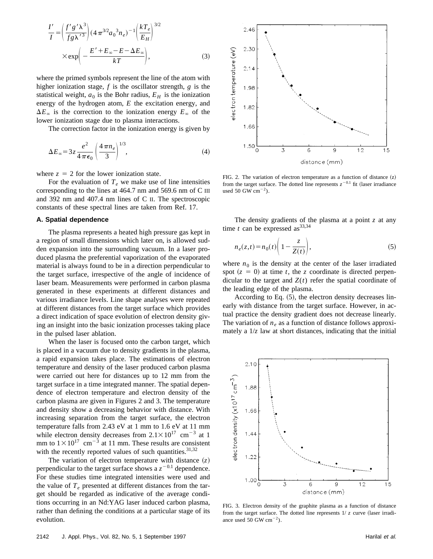$$
\frac{I'}{I} = \left(\frac{f'g'\lambda^3}{f g \lambda'^3}\right) (4\pi^{3/2} a_0^3 n_e)^{-1} \left(\frac{kT_e}{E_H}\right)^{3/2}
$$

$$
\times \exp\left(-\frac{E' + E_\infty - E - \Delta E_\infty}{kT}\right),\tag{3}
$$

where the primed symbols represent the line of the atom with higher ionization stage, *f* is the oscillator strength, *g* is the statistical weight,  $a_0$  is the Bohr radius,  $E_H$  is the ionization energy of the hydrogen atom, *E* the excitation energy, and  $\Delta E_\infty$  is the correction to the ionization energy  $E_\infty$  of the lower ionization stage due to plasma interactions.

The correction factor in the ionization energy is given by

$$
\Delta E_{\infty} = 3z \frac{e^2}{4\pi\epsilon_0} \left(\frac{4\pi n_e}{3}\right)^{1/3},\tag{4}
$$

where  $z = 2$  for the lower ionization state.

For the evaluation of  $T_e$  we make use of line intensities corresponding to the lines at 464.7 nm and 569.6 nm of C III and 392 nm and 407.4 nm lines of C II. The spectroscopic constants of these spectral lines are taken from Ref. 17.

#### **A. Spatial dependence**

The plasma represents a heated high pressure gas kept in a region of small dimensions which later on, is allowed sudden expansion into the surrounding vacuum. In a laser produced plasma the preferential vaporization of the evaporated material is always found to be in a direction perpendicular to the target surface, irrespective of the angle of incidence of laser beam. Measurements were performed in carbon plasma generated in these experiments at different distances and various irradiance levels. Line shape analyses were repeated at different distances from the target surface which provides a direct indication of space evolution of electron density giving an insight into the basic ionization processes taking place in the pulsed laser ablation.

When the laser is focused onto the carbon target, which is placed in a vacuum due to density gradients in the plasma, a rapid expansion takes place. The estimations of electron temperature and density of the laser produced carbon plasma were carried out here for distances up to 12 mm from the target surface in a time integrated manner. The spatial dependence of electron temperature and electron density of the carbon plasma are given in Figures 2 and 3. The temperature and density show a decreasing behavior with distance. With increasing separation from the target surface, the electron temperature falls from 2.43 eV at 1 mm to 1.6 eV at 11 mm while electron density decreases from  $2.1 \times 10^{17}$  cm<sup>-3</sup> at 1 mm to  $1\times10^{17}$  cm<sup>-3</sup> at 11 mm. These results are consistent with the recently reported values of such quantities. $31,32$ 

The variation of electron temperature with distance  $(z)$ perpendicular to the target surface shows a  $z^{-0.1}$  dependence. For these studies time integrated intensities were used and the value of  $T_e$  presented at different distances from the target should be regarded as indicative of the average conditions occurring in an Nd:YAG laser induced carbon plasma, rather than defining the conditions at a particular stage of its evolution.



FIG. 2. The variation of electron temperature as a function of distance  $(z)$ from the target surface. The dotted line represents  $z^{-0.1}$  fit (laser irradiance used 50 GW  $\text{cm}^{-2}$ ).

The density gradients of the plasma at a point *z* at any time  $t$  can be expressed as  $33,34$ 

$$
n_e(z,t) = n_0(t) \left( 1 - \frac{z}{Z(t)} \right),\tag{5}
$$

where  $n_0$  is the density at the center of the laser irradiated spot  $(z = 0)$  at time *t*, the *z* coordinate is directed perpendicular to the target and  $Z(t)$  refer the spatial coordinate of the leading edge of the plasma.

According to Eq.  $(5)$ , the electron density decreases linearly with distance from the target surface. However, in actual practice the density gradient does not decrease linearly. The variation of  $n_e$  as a function of distance follows approximately a  $1/z$  law at short distances, indicating that the initial



FIG. 3. Electron density of the graphite plasma as a function of distance from the target surface. The dotted line represents  $1/z$  curve (laser irradiance used 50 GW  $cm^{-2}$ ).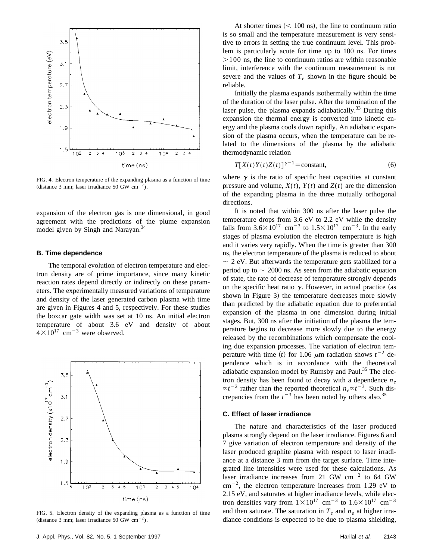

FIG. 4. Electron temperature of the expanding plasma as a function of time (distance 3 mm; laser irradiance 50 GW  $cm^{-2}$ ).

expansion of the electron gas is one dimensional, in good agreement with the predictions of the plume expansion model given by Singh and Narayan.<sup>34</sup>

#### **B. Time dependence**

The temporal evolution of electron temperature and electron density are of prime importance, since many kinetic reaction rates depend directly or indirectly on these parameters. The experimentally measured variations of temperature and density of the laser generated carbon plasma with time are given in Figures 4 and 5, respectively. For these studies the boxcar gate width was set at 10 ns. An initial electron temperature of about 3.6 eV and density of about  $4\times10^{17}$  cm<sup>-3</sup> were observed.



FIG. 5. Electron density of the expanding plasma as a function of time (distance 3 mm; laser irradiance 50 GW  $cm^{-2}$ ).

At shorter times  $(< 100 \text{ ns}$ , the line to continuum ratio is so small and the temperature measurement is very sensitive to errors in setting the true continuum level. This problem is particularly acute for time up to 100 ns. For times  $>100$  ns, the line to continuum ratios are within reasonable limit, interference with the continuum measurement is not severe and the values of  $T_e$  shown in the figure should be reliable.

Initially the plasma expands isothermally within the time of the duration of the laser pulse. After the termination of the laser pulse, the plasma expands adiabatically.<sup>33</sup> During this expansion the thermal energy is converted into kinetic energy and the plasma cools down rapidly. An adiabatic expansion of the plasma occurs, when the temperature can be related to the dimensions of the plasma by the adiabatic thermodynamic relation

$$
T[X(t)Y(t)Z(t)]^{\gamma - 1} = \text{constant},\tag{6}
$$

where  $\gamma$  is the ratio of specific heat capacities at constant pressure and volume,  $X(t)$ ,  $Y(t)$  and  $Z(t)$  are the dimension of the expanding plasma in the three mutually orthogonal directions.

It is noted that within 300 ns after the laser pulse the temperature drops from 3.6 eV to 2.2 eV while the density falls from  $3.6\times10^{17}$  cm<sup>-3</sup> to  $1.5\times10^{17}$  cm<sup>-3</sup>. In the early stages of plasma evolution the electron temperature is high and it varies very rapidly. When the time is greater than 300 ns, the electron temperature of the plasma is reduced to about  $\sim$  2 eV. But afterwards the temperature gets stabilized for a period up to  $\sim$  2000 ns. As seen from the adiabatic equation of state, the rate of decrease of temperature strongly depends on the specific heat ratio  $\gamma$ . However, in actual practice (as shown in Figure 3) the temperature decreases more slowly than predicted by the adiabatic equation due to preferential expansion of the plasma in one dimension during initial stages. But, 300 ns after the initiation of the plasma the temperature begins to decrease more slowly due to the energy released by the recombinations which compensate the cooling due expansion processes. The variation of electron temperature with time (*t*) for 1.06  $\mu$ m radiation shows  $t^{-2}$  dependence which is in accordance with the theoretical adiabatic expansion model by Rumsby and Paul. $35$  The electron density has been found to decay with a dependence *ne*  $\propto t^{-2}$  rather than the reported theoretical  $n_e \propto t^{-3}$ . Such discrepancies from the  $t^{-3}$  has been noted by others also.<sup>35</sup>

#### **C. Effect of laser irradiance**

The nature and characteristics of the laser produced plasma strongly depend on the laser irradiance. Figures 6 and 7 give variation of electron temperature and density of the laser produced graphite plasma with respect to laser irradiance at a distance 3 mm from the target surface. Time integrated line intensities were used for these calculations. As laser irradiance increases from 21 GW  $cm^{-2}$  to 64 GW  $cm^{-2}$ , the electron temperature increases from 1.29 eV to 2.15 eV, and saturates at higher irradiance levels, while electron densities vary from  $1\times10^{17}$  cm<sup>-3</sup> to  $1.6\times10^{17}$  cm<sup>-3</sup> and then saturate. The saturation in  $T_e$  and  $n_e$  at higher irradiance conditions is expected to be due to plasma shielding,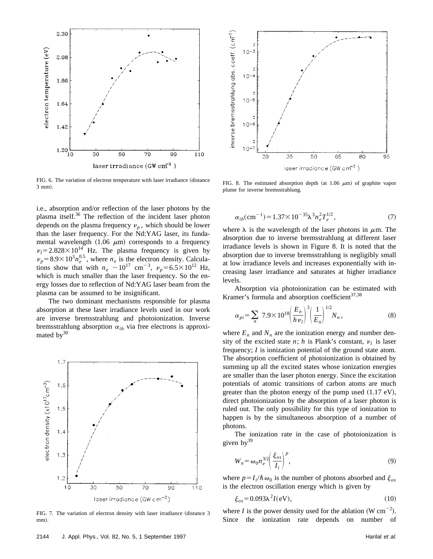

FIG. 6. The variation of electron temperature with laser irradiance (distance 3 mm!.

i.e., absorption and/or reflection of the laser photons by the plasma itself.<sup>36</sup> The reflection of the incident laser photon depends on the plasma frequency  $v_p$ , which should be lower than the laser frequency. For the Nd:YAG laser, its fundamental wavelength  $(1.06 \mu m)$  corresponds to a frequency  $v_l$ =2.828×10<sup>14</sup> Hz. The plasma frequency is given by  $\nu_p = 8.9 \times 10^3 n_e^{0.5}$ , where  $n_e$  is the electron density. Calculations show that with  $n_e \sim 10^{17}$  cm<sup>-3</sup>,  $\nu_p = 6.5 \times 10^{12}$  Hz, which is much smaller than the laser frequency. So the energy losses due to reflection of Nd:YAG laser beam from the plasma can be assumed to be insignificant.

The two dominant mechanisms responsible for plasma absorption at these laser irradiance levels used in our work are inverse bremsstrahlung and photoionization. Inverse bremsstrahlung absorption  $\alpha_{ib}$  via free electrons is approximated  $bv^{30}$ 



FIG. 7. The variation of electron density with laser irradiance (distance 3 mm).



FIG. 8. The estimated absorption depth (at 1.06  $\mu$ m) of graphite vapor plume for inverse bremsstrahlung.

$$
\alpha_{ib}(\text{cm}^{-1}) = 1.37 \times 10^{-35} \lambda^3 n_e^2 T_e^{1/2},\tag{7}
$$

where  $\lambda$  is the wavelength of the laser photons in  $\mu$ m. The absorption due to inverse bremsstrahlung at different laser irradiance levels is shown in Figure 8. It is noted that the absorption due to inverse bremsstrahlung is negligibly small at low irradiance levels and increases exponentially with increasing laser irradiance and saturates at higher irradiance levels.

Absorption via photoionization can be estimated with Kramer's formula and absorption coefficient $37,38$ 

$$
\alpha_{pi} = \sum_{n} 7.9 \times 10^{18} \left( \frac{E_n}{h v_l} \right)^3 \left( \frac{1}{E_n} \right)^{1/2} N_n, \tag{8}
$$

where  $E_n$  and  $N_n$  are the ionization energy and number density of the excited state *n*; *h* is Plank's constant,  $v_l$  is laser frequency; *I* is ionization potential of the ground state atom. The absorption coefficient of photoionization is obtained by summing up all the excited states whose ionization energies are smaller than the laser photon energy. Since the excitation potentials of atomic transitions of carbon atoms are much greater than the photon energy of the pump used  $(1.17 \text{ eV})$ , direct photoionization by the absorption of a laser photon is ruled out. The only possibility for this type of ionization to happen is by the simultaneous absorption of a number of photons.

The ionization rate in the case of photoionization is given by $39$ 

$$
W_n = \omega_0 n_e^{3/2} \left( \frac{\xi_{os}}{I_i} \right)^p,
$$
\n(9)

where  $p = I_i/\hbar \omega_0$  is the number of photons absorbed and  $\xi_{os}$ is the electron oscillation energy which is given by

$$
\xi_{os} = 0.093\lambda^2 I(\text{eV}),\tag{10}
$$

where *I* is the power density used for the ablation (W  $cm^{-2}$ ). Since the ionization rate depends on number of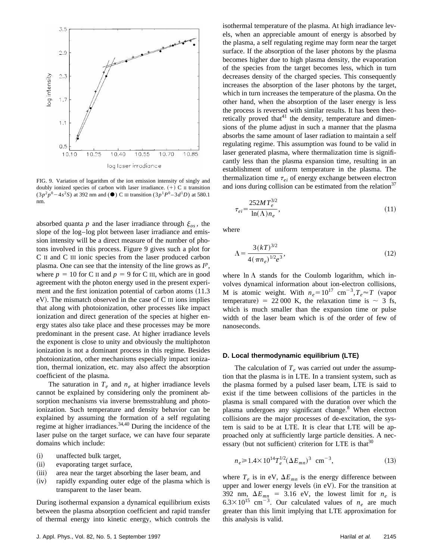

FIG. 9. Variation of logarithm of the ion emission intensity of singly and doubly ionized species of carbon with laser irradiance.  $(+)$  C II transition  $(3p^2p^0 - 4s^2S)$  at 392 nm and ( $\bullet$ ) C III transition  $(3p^1P^0 - 3d^1D)$  at 580.1 nm.

absorbed quanta *p* and the laser irradiance through  $\xi_{os}$ , the slope of the log–log plot between laser irradiance and emission intensity will be a direct measure of the number of photons involved in this process. Figure 9 gives such a plot for C II and C III ionic species from the laser produced carbon plasma. One can see that the intensity of the line grows as  $I^p$ , where  $p = 10$  for C II and  $p = 9$  for C III, which are in good agreement with the photon energy used in the present experiment and the first ionization potential of carbon atoms  $(11.3$  $eV$ ). The mismatch observed in the case of C III ions implies that along with photoionization, other processes like impact ionization and direct generation of the species at higher energy states also take place and these processes may be more predominant in the present case. At higher irradiance levels the exponent is close to unity and obviously the multiphoton ionization is not a dominant process in this regime. Besides photoionization, other mechanisms especially impact ionization, thermal ionization, etc. may also affect the absorption coefficient of the plasma.

The saturation in  $T_e$  and  $n_e$  at higher irradiance levels cannot be explained by considering only the prominent absorption mechanisms via inverse bremsstrahlung and photoionization. Such temperature and density behavior can be explained by assuming the formation of a self regulating regime at higher irradiances.34,40 During the incidence of the laser pulse on the target surface, we can have four separate domains which include:

- (i) unaffected bulk target,
- (ii) evaporating target surface,
- (iii) area near the target absorbing the laser beam, and
- (iv) rapidly expanding outer edge of the plasma which is transparent to the laser beam.

During isothermal expansion a dynamical equilibrium exists between the plasma absorption coefficient and rapid transfer of thermal energy into kinetic energy, which controls the isothermal temperature of the plasma. At high irradiance levels, when an appreciable amount of energy is absorbed by the plasma, a self regulating regime may form near the target surface. If the absorption of the laser photons by the plasma becomes higher due to high plasma density, the evaporation of the species from the target becomes less, which in turn decreases density of the charged species. This consequently increases the absorption of the laser photons by the target, which in turn increases the temperature of the plasma. On the other hand, when the absorption of the laser energy is less the process is reversed with similar results. It has been theoretically proved that<sup>41</sup> the density, temperature and dimensions of the plume adjust in such a manner that the plasma absorbs the same amount of laser radiation to maintain a self regulating regime. This assumption was found to be valid in laser generated plasma, where thermalization time is significantly less than the plasma expansion time, resulting in an establishment of uniform temperature in the plasma. The thermalization time  $\tau_{ei}$  of energy exchange between electron and ions during collision can be estimated from the relation<sup>37</sup>

$$
\tau_{ei} = \frac{252MT_e^{3/2}}{\ln(\Lambda)n_e},\tag{11}
$$

where

$$
\Lambda = \frac{3(kT)^{3/2}}{4(\pi n_e)^{1/2}e^3},\tag{12}
$$

where  $\ln \Lambda$  stands for the Coulomb logarithm, which involves dynamical information about ion-electron collisions, M is atomic weight. With  $n_e = 10^{17}$  cm<sup>-3</sup>,  $T_e \approx T$  (vapor temperature) = 22 000 K, the relaxation time is  $\sim$  3 fs, which is much smaller than the expansion time or pulse width of the laser beam which is of the order of few of nanoseconds.

#### **D. Local thermodynamic equilibrium (LTE)**

The calculation of  $T_e$  was carried out under the assumption that the plasma is in LTE. In a transient system, such as the plasma formed by a pulsed laser beam, LTE is said to exist if the time between collisions of the particles in the plasma is small compared with the duration over which the plasma undergoes any significant change.<sup>8</sup> When electron collisions are the major processes of de-excitation, the system is said to be at LTE. It is clear that LTE will be approached only at sufficiently large particle densities. A necessary (but not sufficient) criterion for LTE is that  $30$ 

$$
n_e \ge 1.4 \times 10^{14} T_e^{1/2} (\Delta E_{mn})^3 \text{ cm}^{-3}, \tag{13}
$$

where  $T_e$  is in eV,  $\Delta E_{mn}$  is the energy difference between upper and lower energy levels  $(in eV)$ . For the transition at 392 nm,  $\Delta E_{mn}$  = 3.16 eV, the lowest limit for  $n_e$  is  $6.3 \times 10^{15}$  cm<sup>-3</sup>. Our calculated values of  $n_e$  are much greater than this limit implying that LTE approximation for this analysis is valid.